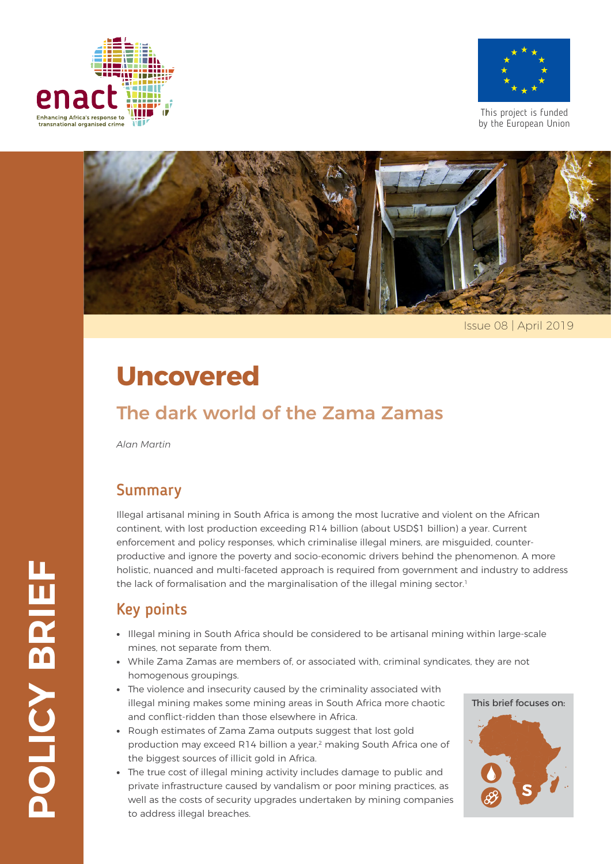



This project is funded by the European Union



Issue 08 | April 2019

# **Uncovered**

### The dark world of the Zama Zamas

*Alan Martin*

#### Summary

Illegal artisanal mining in South Africa is among the most lucrative and violent on the African continent, with lost production exceeding R14 billion (about USD\$1 billion) a year. Current enforcement and policy responses, which criminalise illegal miners, are misguided, counterproductive and ignore the poverty and socio-economic drivers behind the phenomenon. A more holistic, nuanced and multi-faceted approach is required from government and industry to address the lack of formalisation and the marginalisation of the illegal mining sector.<sup>1</sup>

#### Key points

- ∙ Illegal mining in South Africa should be considered to be artisanal mining within large-scale mines, not separate from them.
- ∙ While Zama Zamas are members of, or associated with, criminal syndicates, they are not homogenous groupings.
- ∙ The violence and insecurity caused by the criminality associated with illegal mining makes some mining areas in South Africa more chaotic and conflict-ridden than those elsewhere in Africa.
- ∙ Rough estimates of Zama Zama outputs suggest that lost gold production may exceed R14 billion a year,<sup>2</sup> making South Africa one of the biggest sources of illicit gold in Africa.
- ∙ The true cost of illegal mining activity includes damage to public and private infrastructure caused by vandalism or poor mining practices, as well as the costs of security upgrades undertaken by mining companies to address illegal breaches.

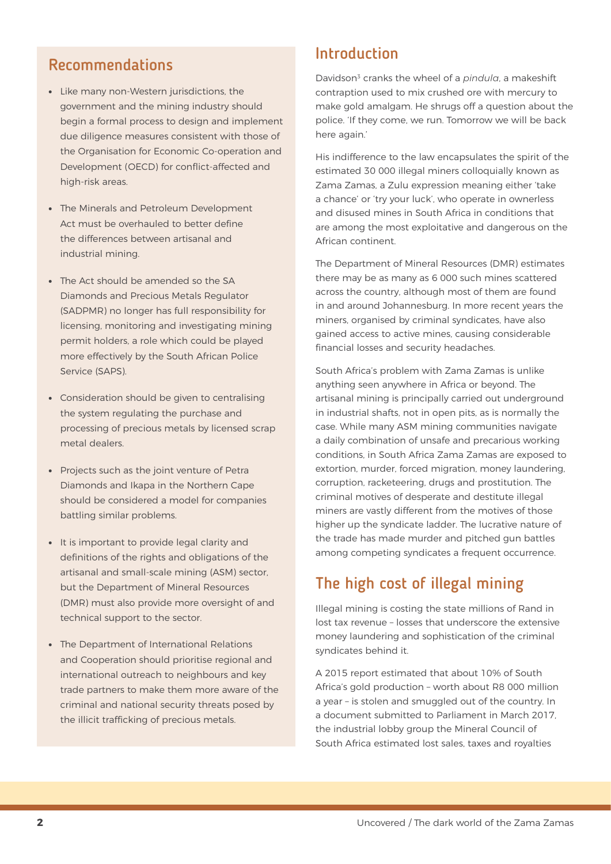#### Recommendations

- ∙ Like many non-Western jurisdictions, the government and the mining industry should begin a formal process to design and implement due diligence measures consistent with those of the Organisation for Economic Co-operation and Development (OECD) for conflict-affected and high-risk areas.
- ∙ The Minerals and Petroleum Development Act must be overhauled to better define the differences between artisanal and industrial mining.
- ∙ The Act should be amended so the SA Diamonds and Precious Metals Regulator (SADPMR) no longer has full responsibility for licensing, monitoring and investigating mining permit holders, a role which could be played more effectively by the South African Police Service (SAPS).
- ∙ Consideration should be given to centralising the system regulating the purchase and processing of precious metals by licensed scrap metal dealers.
- ∙ Projects such as the joint venture of Petra Diamonds and Ikapa in the Northern Cape should be considered a model for companies battling similar problems.
- ∙ It is important to provide legal clarity and definitions of the rights and obligations of the artisanal and small-scale mining (ASM) sector, but the Department of Mineral Resources (DMR) must also provide more oversight of and technical support to the sector.
- ∙ The Department of International Relations and Cooperation should prioritise regional and international outreach to neighbours and key trade partners to make them more aware of the criminal and national security threats posed by the illicit trafficking of precious metals.

#### Introduction

Davidson3 cranks the wheel of a *pindula*, a makeshift contraption used to mix crushed ore with mercury to make gold amalgam. He shrugs off a question about the police. 'If they come, we run. Tomorrow we will be back here again.'

His indifference to the law encapsulates the spirit of the estimated 30 000 illegal miners colloquially known as Zama Zamas, a Zulu expression meaning either 'take a chance' or 'try your luck', who operate in ownerless and disused mines in South Africa in conditions that are among the most exploitative and dangerous on the African continent.

The Department of Mineral Resources (DMR) estimates there may be as many as 6 000 such mines scattered across the country, although most of them are found in and around Johannesburg. In more recent years the miners, organised by criminal syndicates, have also gained access to active mines, causing considerable financial losses and security headaches.

South Africa's problem with Zama Zamas is unlike anything seen anywhere in Africa or beyond. The artisanal mining is principally carried out underground in industrial shafts, not in open pits, as is normally the case. While many ASM mining communities navigate a daily combination of unsafe and precarious working conditions, in South Africa Zama Zamas are exposed to extortion, murder, forced migration, money laundering, corruption, racketeering, drugs and prostitution. The criminal motives of desperate and destitute illegal miners are vastly different from the motives of those higher up the syndicate ladder. The lucrative nature of the trade has made murder and pitched gun battles among competing syndicates a frequent occurrence.

#### The high cost of illegal mining

Illegal mining is costing the state millions of Rand in lost tax revenue – losses that underscore the extensive money laundering and sophistication of the criminal syndicates behind it.

A 2015 report estimated that about 10% of South Africa's gold production – worth about R8 000 million a year – is stolen and smuggled out of the country. In a document submitted to Parliament in March 2017, the industrial lobby group the Mineral Council of South Africa estimated lost sales, taxes and royalties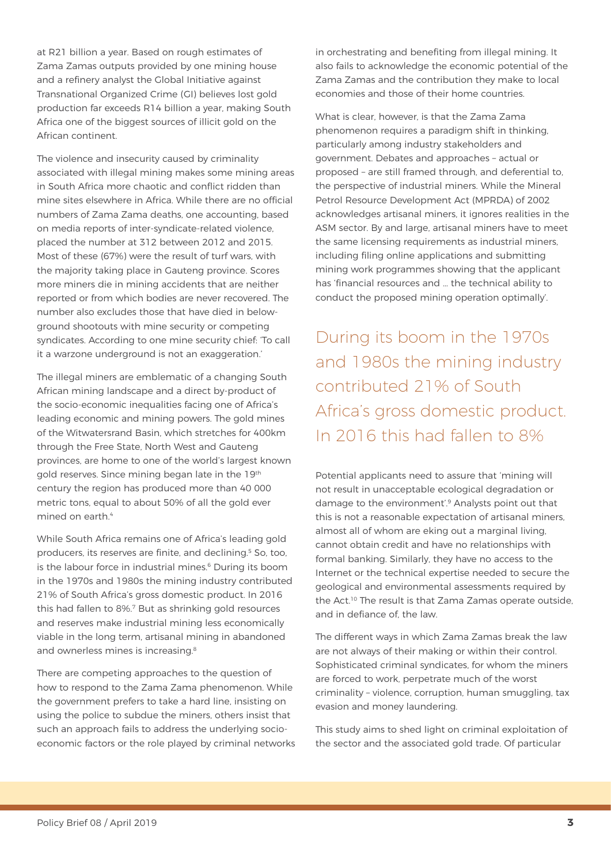at R21 billion a year. Based on rough estimates of Zama Zamas outputs provided by one mining house and a refinery analyst the Global Initiative against Transnational Organized Crime (GI) believes lost gold production far exceeds R14 billion a year, making South Africa one of the biggest sources of illicit gold on the African continent.

The violence and insecurity caused by criminality associated with illegal mining makes some mining areas in South Africa more chaotic and conflict ridden than mine sites elsewhere in Africa. While there are no official numbers of Zama Zama deaths, one accounting, based on media reports of inter-syndicate-related violence, placed the number at 312 between 2012 and 2015. Most of these (67%) were the result of turf wars, with the majority taking place in Gauteng province. Scores more miners die in mining accidents that are neither reported or from which bodies are never recovered. The number also excludes those that have died in belowground shootouts with mine security or competing syndicates. According to one mine security chief: 'To call it a warzone underground is not an exaggeration.'

The illegal miners are emblematic of a changing South African mining landscape and a direct by-product of the socio-economic inequalities facing one of Africa's leading economic and mining powers. The gold mines of the Witwatersrand Basin, which stretches for 400km through the Free State, North West and Gauteng provinces, are home to one of the world's largest known gold reserves. Since mining began late in the 19th century the region has produced more than 40 000 metric tons, equal to about 50% of all the gold ever mined on earth.<sup>4</sup>

While South Africa remains one of Africa's leading gold producers, its reserves are finite, and declining.5 So, too, is the labour force in industrial mines.<sup>6</sup> During its boom in the 1970s and 1980s the mining industry contributed 21% of South Africa's gross domestic product. In 2016 this had fallen to 8%.7 But as shrinking gold resources and reserves make industrial mining less economically viable in the long term, artisanal mining in abandoned and ownerless mines is increasing.<sup>8</sup>

There are competing approaches to the question of how to respond to the Zama Zama phenomenon. While the government prefers to take a hard line, insisting on using the police to subdue the miners, others insist that such an approach fails to address the underlying socioeconomic factors or the role played by criminal networks in orchestrating and benefiting from illegal mining. It also fails to acknowledge the economic potential of the Zama Zamas and the contribution they make to local economies and those of their home countries.

What is clear, however, is that the Zama Zama phenomenon requires a paradigm shift in thinking, particularly among industry stakeholders and government. Debates and approaches – actual or proposed – are still framed through, and deferential to, the perspective of industrial miners. While the Mineral Petrol Resource Development Act (MPRDA) of 2002 acknowledges artisanal miners, it ignores realities in the ASM sector. By and large, artisanal miners have to meet the same licensing requirements as industrial miners, including filing online applications and submitting mining work programmes showing that the applicant has 'financial resources and … the technical ability to conduct the proposed mining operation optimally'.

During its boom in the 1970s and 1980s the mining industry contributed 21% of South Africa's gross domestic product. In 2016 this had fallen to 8%

Potential applicants need to assure that 'mining will not result in unacceptable ecological degradation or damage to the environment'.9 Analysts point out that this is not a reasonable expectation of artisanal miners, almost all of whom are eking out a marginal living, cannot obtain credit and have no relationships with formal banking. Similarly, they have no access to the Internet or the technical expertise needed to secure the geological and environmental assessments required by the Act.<sup>10</sup> The result is that Zama Zamas operate outside, and in defiance of, the law

The different ways in which Zama Zamas break the law are not always of their making or within their control. Sophisticated criminal syndicates, for whom the miners are forced to work, perpetrate much of the worst criminality – violence, corruption, human smuggling, tax evasion and money laundering.

This study aims to shed light on criminal exploitation of the sector and the associated gold trade. Of particular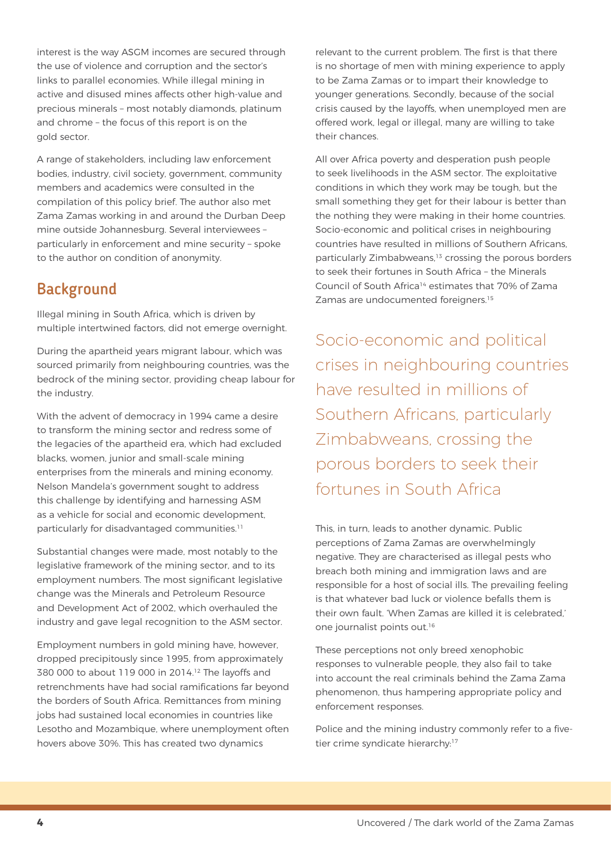interest is the way ASGM incomes are secured through the use of violence and corruption and the sector's links to parallel economies. While illegal mining in active and disused mines affects other high-value and precious minerals – most notably diamonds, platinum and chrome – the focus of this report is on the gold sector.

A range of stakeholders, including law enforcement bodies, industry, civil society, government, community members and academics were consulted in the compilation of this policy brief. The author also met Zama Zamas working in and around the Durban Deep mine outside Johannesburg. Several interviewees – particularly in enforcement and mine security – spoke to the author on condition of anonymity.

#### **Background**

Illegal mining in South Africa, which is driven by multiple intertwined factors, did not emerge overnight.

During the apartheid years migrant labour, which was sourced primarily from neighbouring countries, was the bedrock of the mining sector, providing cheap labour for the industry.

With the advent of democracy in 1994 came a desire to transform the mining sector and redress some of the legacies of the apartheid era, which had excluded blacks, women, junior and small-scale mining enterprises from the minerals and mining economy. Nelson Mandela's government sought to address this challenge by identifying and harnessing ASM as a vehicle for social and economic development, particularly for disadvantaged communities.11

Substantial changes were made, most notably to the legislative framework of the mining sector, and to its employment numbers. The most significant legislative change was the Minerals and Petroleum Resource and Development Act of 2002, which overhauled the industry and gave legal recognition to the ASM sector.

Employment numbers in gold mining have, however, dropped precipitously since 1995, from approximately 380 000 to about 119 000 in 2014.12 The layoffs and retrenchments have had social ramifications far beyond the borders of South Africa. Remittances from mining jobs had sustained local economies in countries like Lesotho and Mozambique, where unemployment often hovers above 30%. This has created two dynamics

relevant to the current problem. The first is that there is no shortage of men with mining experience to apply to be Zama Zamas or to impart their knowledge to younger generations. Secondly, because of the social crisis caused by the layoffs, when unemployed men are offered work, legal or illegal, many are willing to take their chances.

All over Africa poverty and desperation push people to seek livelihoods in the ASM sector. The exploitative conditions in which they work may be tough, but the small something they get for their labour is better than the nothing they were making in their home countries. Socio-economic and political crises in neighbouring countries have resulted in millions of Southern Africans, particularly Zimbabweans,<sup>13</sup> crossing the porous borders to seek their fortunes in South Africa – the Minerals Council of South Africa14 estimates that 70% of Zama Zamas are undocumented foreigners.<sup>15</sup>

Socio-economic and political crises in neighbouring countries have resulted in millions of Southern Africans, particularly Zimbabweans, crossing the porous borders to seek their fortunes in South Africa

This, in turn, leads to another dynamic. Public perceptions of Zama Zamas are overwhelmingly negative. They are characterised as illegal pests who breach both mining and immigration laws and are responsible for a host of social ills. The prevailing feeling is that whatever bad luck or violence befalls them is their own fault. 'When Zamas are killed it is celebrated,' one journalist points out.16

These perceptions not only breed xenophobic responses to vulnerable people, they also fail to take into account the real criminals behind the Zama Zama phenomenon, thus hampering appropriate policy and enforcement responses.

Police and the mining industry commonly refer to a fivetier crime syndicate hierarchy:<sup>17</sup>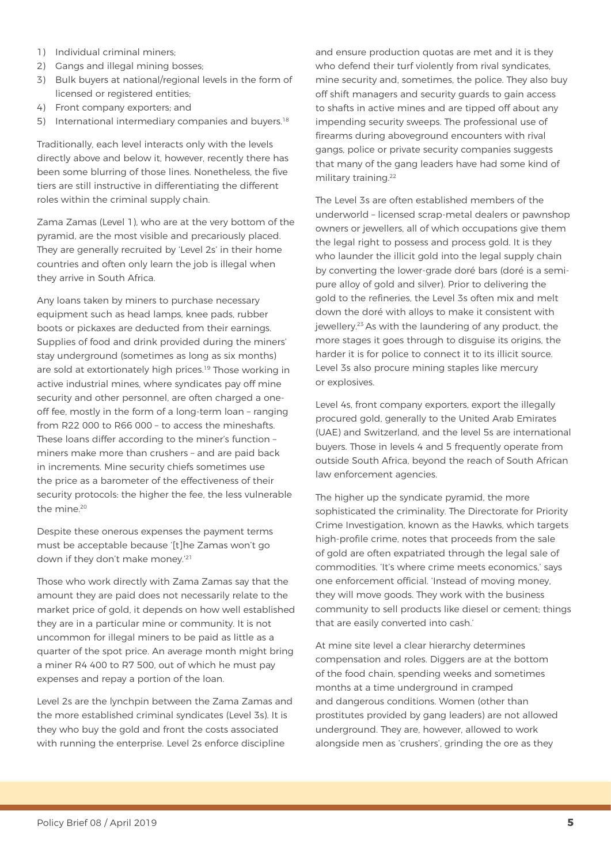- 1) Individual criminal miners;
- 2) Gangs and illegal mining bosses;
- 3) Bulk buyers at national/regional levels in the form of licensed or registered entities;
- 4) Front company exporters; and
- 5) International intermediary companies and buyers.<sup>18</sup>

Traditionally, each level interacts only with the levels directly above and below it, however, recently there has been some blurring of those lines. Nonetheless, the five tiers are still instructive in differentiating the different roles within the criminal supply chain.

Zama Zamas (Level 1), who are at the very bottom of the pyramid, are the most visible and precariously placed. They are generally recruited by 'Level 2s' in their home countries and often only learn the job is illegal when they arrive in South Africa.

Any loans taken by miners to purchase necessary equipment such as head lamps, knee pads, rubber boots or pickaxes are deducted from their earnings. Supplies of food and drink provided during the miners' stay underground (sometimes as long as six months) are sold at extortionately high prices.<sup>19</sup> Those working in active industrial mines, where syndicates pay off mine security and other personnel, are often charged a oneoff fee, mostly in the form of a long-term loan – ranging from R22 000 to R66 000 – to access the mineshafts. These loans differ according to the miner's function – miners make more than crushers – and are paid back in increments. Mine security chiefs sometimes use the price as a barometer of the effectiveness of their security protocols: the higher the fee, the less vulnerable the mine.<sup>20</sup>

Despite these onerous expenses the payment terms must be acceptable because '[t]he Zamas won't go down if they don't make money.'21

Those who work directly with Zama Zamas say that the amount they are paid does not necessarily relate to the market price of gold, it depends on how well established they are in a particular mine or community. It is not uncommon for illegal miners to be paid as little as a quarter of the spot price. An average month might bring a miner R4 400 to R7 500, out of which he must pay expenses and repay a portion of the loan.

Level 2s are the lynchpin between the Zama Zamas and the more established criminal syndicates (Level 3s). It is they who buy the gold and front the costs associated with running the enterprise. Level 2s enforce discipline

and ensure production quotas are met and it is they who defend their turf violently from rival syndicates, mine security and, sometimes, the police. They also buy off shift managers and security guards to gain access to shafts in active mines and are tipped off about any impending security sweeps. The professional use of firearms during aboveground encounters with rival gangs, police or private security companies suggests that many of the gang leaders have had some kind of military training.22

The Level 3s are often established members of the underworld – licensed scrap-metal dealers or pawnshop owners or jewellers, all of which occupations give them the legal right to possess and process gold. It is they who launder the illicit gold into the legal supply chain by converting the lower-grade doré bars (doré is a semipure alloy of gold and silver). Prior to delivering the gold to the refineries, the Level 3s often mix and melt down the doré with alloys to make it consistent with jewellery.23 As with the laundering of any product, the more stages it goes through to disguise its origins, the harder it is for police to connect it to its illicit source. Level 3s also procure mining staples like mercury or explosives.

Level 4s, front company exporters, export the illegally procured gold, generally to the United Arab Emirates (UAE) and Switzerland, and the level 5s are international buyers. Those in levels 4 and 5 frequently operate from outside South Africa, beyond the reach of South African law enforcement agencies.

The higher up the syndicate pyramid, the more sophisticated the criminality. The Directorate for Priority Crime Investigation, known as the Hawks, which targets high-profile crime, notes that proceeds from the sale of gold are often expatriated through the legal sale of commodities. 'It's where crime meets economics,' says one enforcement official. 'Instead of moving money, they will move goods. They work with the business community to sell products like diesel or cement; things that are easily converted into cash.'

At mine site level a clear hierarchy determines compensation and roles. Diggers are at the bottom of the food chain, spending weeks and sometimes months at a time underground in cramped and dangerous conditions. Women (other than prostitutes provided by gang leaders) are not allowed underground. They are, however, allowed to work alongside men as 'crushers', grinding the ore as they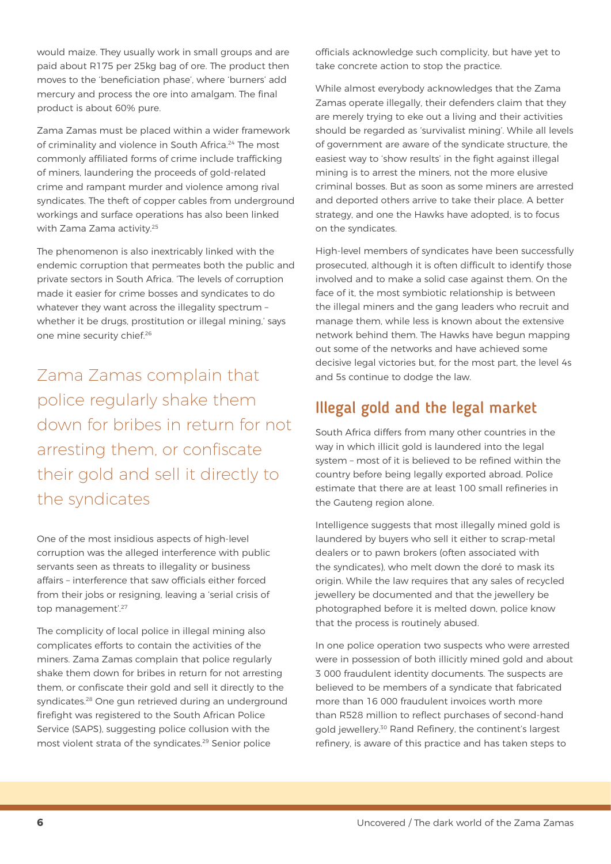would maize. They usually work in small groups and are paid about R175 per 25kg bag of ore. The product then moves to the 'beneficiation phase', where 'burners' add mercury and process the ore into amalgam. The final product is about 60% pure.

Zama Zamas must be placed within a wider framework of criminality and violence in South Africa.<sup>24</sup> The most commonly affiliated forms of crime include trafficking of miners, laundering the proceeds of gold-related crime and rampant murder and violence among rival syndicates. The theft of copper cables from underground workings and surface operations has also been linked with Zama Zama activity.<sup>25</sup>

The phenomenon is also inextricably linked with the endemic corruption that permeates both the public and private sectors in South Africa. 'The levels of corruption made it easier for crime bosses and syndicates to do whatever they want across the illegality spectrum – whether it be drugs, prostitution or illegal mining,' says one mine security chief.26

Zama Zamas complain that police regularly shake them down for bribes in return for not arresting them, or confiscate their gold and sell it directly to the syndicates

One of the most insidious aspects of high-level corruption was the alleged interference with public servants seen as threats to illegality or business affairs – interference that saw officials either forced from their jobs or resigning, leaving a 'serial crisis of top management'.<sup>27</sup>

The complicity of local police in illegal mining also complicates efforts to contain the activities of the miners. Zama Zamas complain that police regularly shake them down for bribes in return for not arresting them, or confiscate their gold and sell it directly to the syndicates.<sup>28</sup> One gun retrieved during an underground firefight was registered to the South African Police Service (SAPS), suggesting police collusion with the most violent strata of the syndicates.29 Senior police

officials acknowledge such complicity, but have yet to take concrete action to stop the practice.

While almost everybody acknowledges that the Zama Zamas operate illegally, their defenders claim that they are merely trying to eke out a living and their activities should be regarded as 'survivalist mining'. While all levels of government are aware of the syndicate structure, the easiest way to 'show results' in the fight against illegal mining is to arrest the miners, not the more elusive criminal bosses. But as soon as some miners are arrested and deported others arrive to take their place. A better strategy, and one the Hawks have adopted, is to focus on the syndicates.

High-level members of syndicates have been successfully prosecuted, although it is often difficult to identify those involved and to make a solid case against them. On the face of it, the most symbiotic relationship is between the illegal miners and the gang leaders who recruit and manage them, while less is known about the extensive network behind them. The Hawks have begun mapping out some of the networks and have achieved some decisive legal victories but, for the most part, the level 4s and 5s continue to dodge the law.

#### Illegal gold and the legal market

South Africa differs from many other countries in the way in which illicit gold is laundered into the legal system – most of it is believed to be refined within the country before being legally exported abroad. Police estimate that there are at least 100 small refineries in the Gauteng region alone.

Intelligence suggests that most illegally mined gold is laundered by buyers who sell it either to scrap-metal dealers or to pawn brokers (often associated with the syndicates), who melt down the doré to mask its origin. While the law requires that any sales of recycled jewellery be documented and that the jewellery be photographed before it is melted down, police know that the process is routinely abused.

In one police operation two suspects who were arrested were in possession of both illicitly mined gold and about 3 000 fraudulent identity documents. The suspects are believed to be members of a syndicate that fabricated more than 16 000 fraudulent invoices worth more than R528 million to reflect purchases of second-hand gold jewellery.30 Rand Refinery, the continent's largest refinery, is aware of this practice and has taken steps to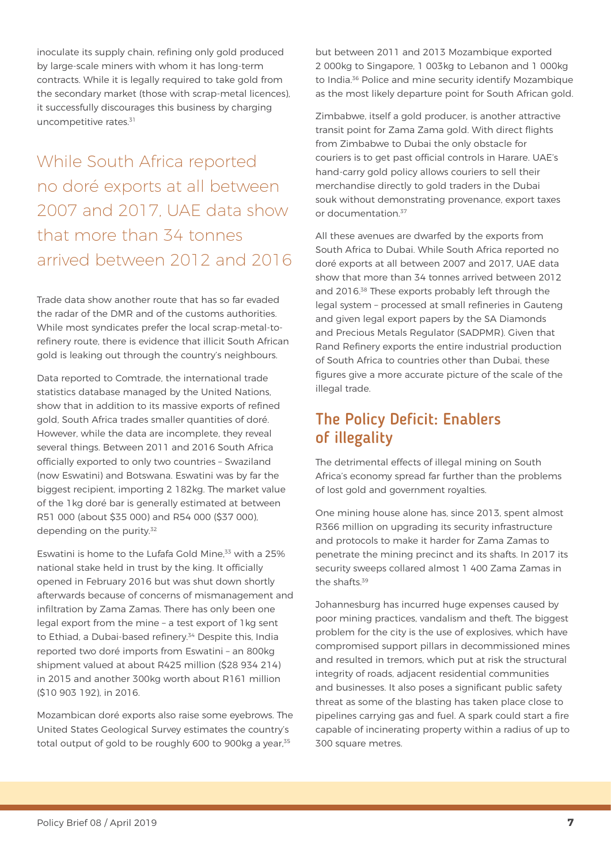inoculate its supply chain, refining only gold produced by large-scale miners with whom it has long-term contracts. While it is legally required to take gold from the secondary market (those with scrap-metal licences), it successfully discourages this business by charging uncompetitive rates.<sup>31</sup>

While South Africa reported no doré exports at all between 2007 and 2017, UAE data show that more than 34 tonnes arrived between 2012 and 2016

Trade data show another route that has so far evaded the radar of the DMR and of the customs authorities. While most syndicates prefer the local scrap-metal-torefinery route, there is evidence that illicit South African gold is leaking out through the country's neighbours.

Data reported to Comtrade, the international trade statistics database managed by the United Nations, show that in addition to its massive exports of refined gold, South Africa trades smaller quantities of doré. However, while the data are incomplete, they reveal several things. Between 2011 and 2016 South Africa officially exported to only two countries – Swaziland (now Eswatini) and Botswana. Eswatini was by far the biggest recipient, importing 2 182kg. The market value of the 1kg doré bar is generally estimated at between R51 000 (about \$35 000) and R54 000 (\$37 000), depending on the purity.<sup>32</sup>

Eswatini is home to the Lufafa Gold Mine.<sup>33</sup> with a 25% national stake held in trust by the king. It officially opened in February 2016 but was shut down shortly afterwards because of concerns of mismanagement and infiltration by Zama Zamas. There has only been one legal export from the mine – a test export of 1kg sent to Ethiad, a Dubai-based refinery.<sup>34</sup> Despite this, India reported two doré imports from Eswatini – an 800kg shipment valued at about R425 million (\$28 934 214) in 2015 and another 300kg worth about R161 million (\$10 903 192), in 2016.

Mozambican doré exports also raise some eyebrows. The United States Geological Survey estimates the country's total output of gold to be roughly 600 to 900kg a year.<sup>35</sup>

but between 2011 and 2013 Mozambique exported 2 000kg to Singapore, 1 003kg to Lebanon and 1 000kg to India.<sup>36</sup> Police and mine security identify Mozambique as the most likely departure point for South African gold.

Zimbabwe, itself a gold producer, is another attractive transit point for Zama Zama gold. With direct flights from Zimbabwe to Dubai the only obstacle for couriers is to get past official controls in Harare. UAE's hand-carry gold policy allows couriers to sell their merchandise directly to gold traders in the Dubai souk without demonstrating provenance, export taxes or documentation.37

All these avenues are dwarfed by the exports from South Africa to Dubai. While South Africa reported no doré exports at all between 2007 and 2017, UAE data show that more than 34 tonnes arrived between 2012 and 2016.38 These exports probably left through the legal system – processed at small refineries in Gauteng and given legal export papers by the SA Diamonds and Precious Metals Regulator (SADPMR). Given that Rand Refinery exports the entire industrial production of South Africa to countries other than Dubai, these figures give a more accurate picture of the scale of the illegal trade.

#### The Policy Deficit: Enablers of illegality

The detrimental effects of illegal mining on South Africa's economy spread far further than the problems of lost gold and government royalties.

One mining house alone has, since 2013, spent almost R366 million on upgrading its security infrastructure and protocols to make it harder for Zama Zamas to penetrate the mining precinct and its shafts. In 2017 its security sweeps collared almost 1 400 Zama Zamas in the shafts.39

Johannesburg has incurred huge expenses caused by poor mining practices, vandalism and theft. The biggest problem for the city is the use of explosives, which have compromised support pillars in decommissioned mines and resulted in tremors, which put at risk the structural integrity of roads, adjacent residential communities and businesses. It also poses a significant public safety threat as some of the blasting has taken place close to pipelines carrying gas and fuel. A spark could start a fire capable of incinerating property within a radius of up to 300 square metres.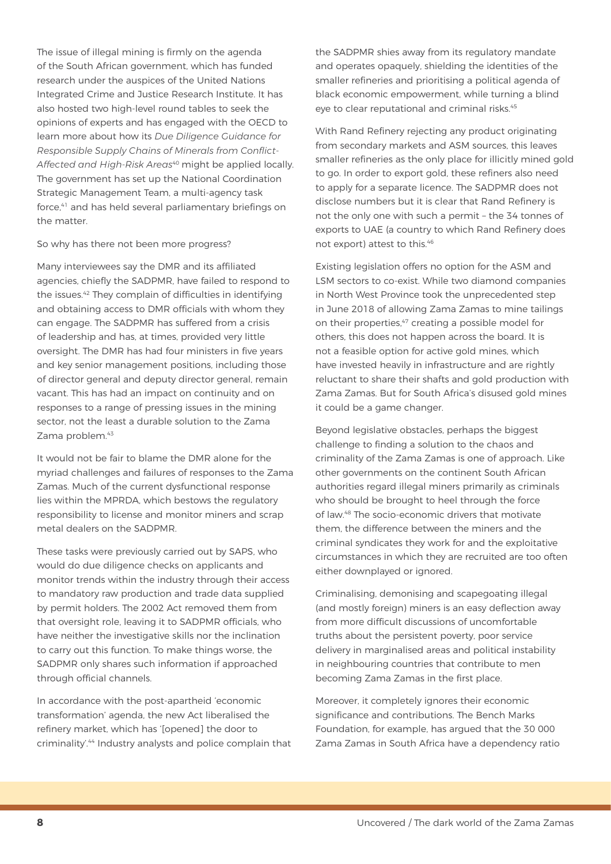The issue of illegal mining is firmly on the agenda of the South African government, which has funded research under the auspices of the United Nations Integrated Crime and Justice Research Institute. It has also hosted two high-level round tables to seek the opinions of experts and has engaged with the OECD to learn more about how its *Due Diligence Guidance for Responsible Supply Chains of Minerals from Conflict-Affected and High-Risk Areas*<sup>40</sup> might be applied locally. The government has set up the National Coordination Strategic Management Team, a multi-agency task force,<sup>41</sup> and has held several parliamentary briefings on the matter.

So why has there not been more progress?

Many interviewees say the DMR and its affiliated agencies, chiefly the SADPMR, have failed to respond to the issues.42 They complain of difficulties in identifying and obtaining access to DMR officials with whom they can engage. The SADPMR has suffered from a crisis of leadership and has, at times, provided very little oversight. The DMR has had four ministers in five years and key senior management positions, including those of director general and deputy director general, remain vacant. This has had an impact on continuity and on responses to a range of pressing issues in the mining sector, not the least a durable solution to the Zama Zama problem.<sup>43</sup>

It would not be fair to blame the DMR alone for the myriad challenges and failures of responses to the Zama Zamas. Much of the current dysfunctional response lies within the MPRDA, which bestows the regulatory responsibility to license and monitor miners and scrap metal dealers on the SADPMR.

These tasks were previously carried out by SAPS, who would do due diligence checks on applicants and monitor trends within the industry through their access to mandatory raw production and trade data supplied by permit holders. The 2002 Act removed them from that oversight role, leaving it to SADPMR officials, who have neither the investigative skills nor the inclination to carry out this function. To make things worse, the SADPMR only shares such information if approached through official channels.

In accordance with the post-apartheid 'economic transformation' agenda, the new Act liberalised the refinery market, which has '[opened] the door to criminality'.44 Industry analysts and police complain that the SADPMR shies away from its regulatory mandate and operates opaquely, shielding the identities of the smaller refineries and prioritising a political agenda of black economic empowerment, while turning a blind eye to clear reputational and criminal risks.<sup>45</sup>

With Rand Refinery rejecting any product originating from secondary markets and ASM sources, this leaves smaller refineries as the only place for illicitly mined gold to go. In order to export gold, these refiners also need to apply for a separate licence. The SADPMR does not disclose numbers but it is clear that Rand Refinery is not the only one with such a permit – the 34 tonnes of exports to UAE (a country to which Rand Refinery does not export) attest to this.46

Existing legislation offers no option for the ASM and LSM sectors to co-exist. While two diamond companies in North West Province took the unprecedented step in June 2018 of allowing Zama Zamas to mine tailings on their properties,<sup>47</sup> creating a possible model for others, this does not happen across the board. It is not a feasible option for active gold mines, which have invested heavily in infrastructure and are rightly reluctant to share their shafts and gold production with Zama Zamas. But for South Africa's disused gold mines it could be a game changer.

Beyond legislative obstacles, perhaps the biggest challenge to finding a solution to the chaos and criminality of the Zama Zamas is one of approach. Like other governments on the continent South African authorities regard illegal miners primarily as criminals who should be brought to heel through the force of law.48 The socio-economic drivers that motivate them, the difference between the miners and the criminal syndicates they work for and the exploitative circumstances in which they are recruited are too often either downplayed or ignored.

Criminalising, demonising and scapegoating illegal (and mostly foreign) miners is an easy deflection away from more difficult discussions of uncomfortable truths about the persistent poverty, poor service delivery in marginalised areas and political instability in neighbouring countries that contribute to men becoming Zama Zamas in the first place.

Moreover, it completely ignores their economic significance and contributions. The Bench Marks Foundation, for example, has argued that the 30 000 Zama Zamas in South Africa have a dependency ratio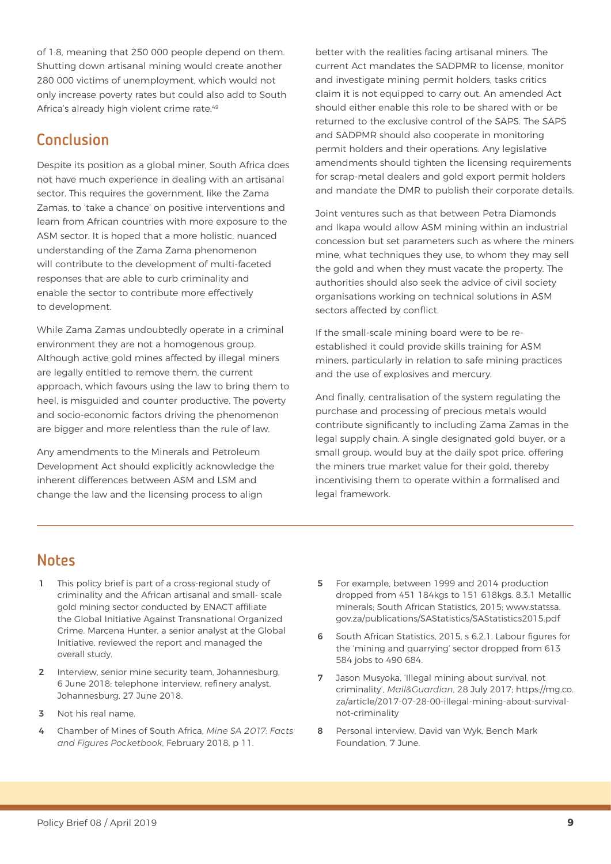of 1:8, meaning that 250 000 people depend on them. Shutting down artisanal mining would create another 280 000 victims of unemployment, which would not only increase poverty rates but could also add to South Africa's already high violent crime rate.<sup>49</sup>

#### **Conclusion**

Despite its position as a global miner, South Africa does not have much experience in dealing with an artisanal sector. This requires the government, like the Zama Zamas, to 'take a chance' on positive interventions and learn from African countries with more exposure to the ASM sector. It is hoped that a more holistic, nuanced understanding of the Zama Zama phenomenon will contribute to the development of multi-faceted responses that are able to curb criminality and enable the sector to contribute more effectively to development.

While Zama Zamas undoubtedly operate in a criminal environment they are not a homogenous group. Although active gold mines affected by illegal miners are legally entitled to remove them, the current approach, which favours using the law to bring them to heel, is misguided and counter productive. The poverty and socio-economic factors driving the phenomenon are bigger and more relentless than the rule of law.

Any amendments to the Minerals and Petroleum Development Act should explicitly acknowledge the inherent differences between ASM and LSM and change the law and the licensing process to align

better with the realities facing artisanal miners. The current Act mandates the SADPMR to license, monitor and investigate mining permit holders, tasks critics claim it is not equipped to carry out. An amended Act should either enable this role to be shared with or be returned to the exclusive control of the SAPS. The SAPS and SADPMR should also cooperate in monitoring permit holders and their operations. Any legislative amendments should tighten the licensing requirements for scrap-metal dealers and gold export permit holders and mandate the DMR to publish their corporate details.

Joint ventures such as that between Petra Diamonds and Ikapa would allow ASM mining within an industrial concession but set parameters such as where the miners mine, what techniques they use, to whom they may sell the gold and when they must vacate the property. The authorities should also seek the advice of civil society organisations working on technical solutions in ASM sectors affected by conflict.

If the small-scale mining board were to be reestablished it could provide skills training for ASM miners, particularly in relation to safe mining practices and the use of explosives and mercury.

And finally, centralisation of the system regulating the purchase and processing of precious metals would contribute significantly to including Zama Zamas in the legal supply chain. A single designated gold buyer, or a small group, would buy at the daily spot price, offering the miners true market value for their gold, thereby incentivising them to operate within a formalised and legal framework.

#### Notes

- This policy brief is part of a cross-regional study of criminality and the African artisanal and small- scale gold mining sector conducted by ENACT affiliate the Global Initiative Against Transnational Organized Crime. Marcena Hunter, a senior analyst at the Global Initiative, reviewed the report and managed the overall study.
- 2 Interview, senior mine security team, Johannesburg, 6 June 2018; telephone interview, refinery analyst, Johannesburg, 27 June 2018.
- 3 Not his real name.
- 4 Chamber of Mines of South Africa, *Mine SA 2017: Facts and Figures Pocketbook*, February 2018, p 11.
- 5 For example, between 1999 and 2014 production dropped from 451 184kgs to 151 618kgs. 8.3.1 Metallic minerals; South African Statistics, 2015; [www.statssa.](http://www.statssa.gov.za/publications/SAStatistics/SAStatistics2015.pdf) [gov.za/publications/SAStatistics/SAStatistics2015.pdf](http://www.statssa.gov.za/publications/SAStatistics/SAStatistics2015.pdf)
- 6 South African Statistics, 2015, s 6.2.1. Labour figures for the 'mining and quarrying' sector dropped from 613 584 jobs to 490 684.
- 7 Jason Musyoka, 'Illegal mining about survival, not criminality', *Mail&Guardian*, 28 July 2017; [https://mg.co.](https://mg.co.za/article/2017-07-28-00-illegal-mining-about-survival-not-criminality) [za/article/2017-07-28-00-illegal-mining-about-survival](https://mg.co.za/article/2017-07-28-00-illegal-mining-about-survival-not-criminality)[not-criminality](https://mg.co.za/article/2017-07-28-00-illegal-mining-about-survival-not-criminality)
- 8 Personal interview, David van Wyk, Bench Mark Foundation, 7 June.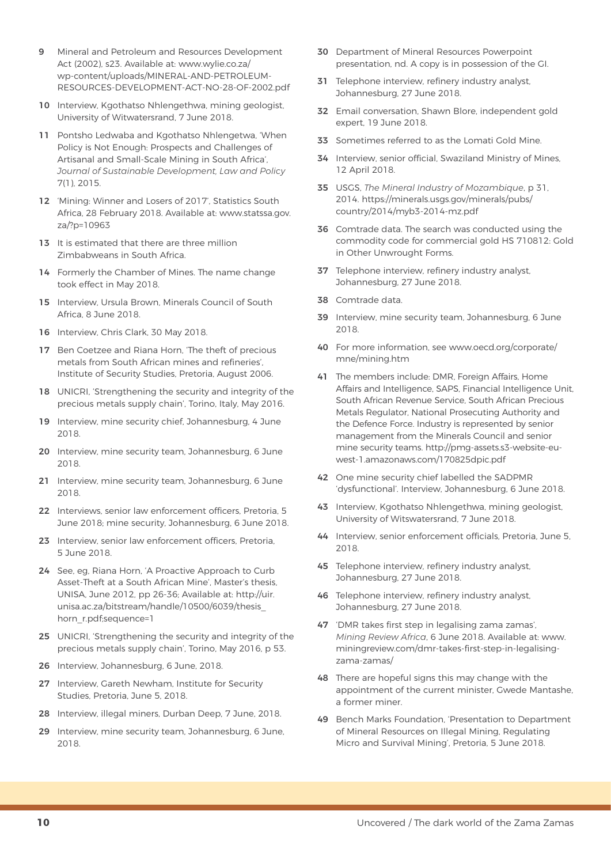- 9 Mineral and Petroleum and Resources Development Act (2002), s23. Available at: [www.wylie.co.za/](http://www.wylie.co.za/wp-content/uploads/MINERAL-AND-PETROLEUM-RESOURCES-DEVELOPMENT-ACT-NO-28-OF-2002.pdf) [wp-content/uploads/MINERAL-AND-PETROLEUM-](http://www.wylie.co.za/wp-content/uploads/MINERAL-AND-PETROLEUM-RESOURCES-DEVELOPMENT-ACT-NO-28-OF-2002.pdf)[RESOURCES-DEVELOPMENT-ACT-NO-28-OF-2002.pdf](http://www.wylie.co.za/wp-content/uploads/MINERAL-AND-PETROLEUM-RESOURCES-DEVELOPMENT-ACT-NO-28-OF-2002.pdf)
- 10 Interview, Kgothatso Nhlengethwa, mining geologist, University of Witwatersrand, 7 June 2018.
- 11 Pontsho Ledwaba and Kgothatso Nhlengetwa, 'When Policy is Not Enough: Prospects and Challenges of Artisanal and Small-Scale Mining in South Africa', *Journal of Sustainable Development, Law and Policy* 7(1), 2015.
- 12 'Mining: Winner and Losers of 2017', Statistics South Africa, 28 February 2018. Available at: [www.statssa.gov.](http://www.statssa.gov.za/?p=10963) [za/?p=10963](http://www.statssa.gov.za/?p=10963)
- 13 It is estimated that there are three million Zimbabweans in South Africa.
- 14 Formerly the Chamber of Mines. The name change took effect in May 2018.
- 15 Interview, Ursula Brown, Minerals Council of South Africa, 8 June 2018.
- 16 Interview, Chris Clark, 30 May 2018.
- 17 Ben Coetzee and Riana Horn, 'The theft of precious metals from South African mines and refineries', Institute of Security Studies, Pretoria, August 2006.
- 18 UNICRI, 'Strengthening the security and integrity of the precious metals supply chain', Torino, Italy, May 2016.
- 19 Interview, mine security chief, Johannesburg, 4 June 2018.
- 20 Interview, mine security team, Johannesburg, 6 June 2018.
- 21 Interview, mine security team, Johannesburg, 6 June 2018.
- 22 Interviews, senior law enforcement officers, Pretoria, 5 June 2018; mine security, Johannesburg, 6 June 2018.
- 23 Interview, senior law enforcement officers, Pretoria, 5 June 2018.
- 24 See, eg, Riana Horn, 'A Proactive Approach to Curb Asset-Theft at a South African Mine', Master's thesis, UNISA, June 2012, pp 26-36; Available at: [http://uir.](http://uir.unisa.ac.za/bitstream/handle/10500/6039/thesis_horn_r.pdf;sequence=1) [unisa.ac.za/bitstream/handle/10500/6039/thesis\\_](http://uir.unisa.ac.za/bitstream/handle/10500/6039/thesis_horn_r.pdf;sequence=1) [horn\\_r.pdf;sequence=1](http://uir.unisa.ac.za/bitstream/handle/10500/6039/thesis_horn_r.pdf;sequence=1)
- 25 UNICRI, 'Strengthening the security and integrity of the precious metals supply chain', Torino, May 2016, p 53.
- 26 Interview, Johannesburg, 6 June, 2018.
- 27 Interview, Gareth Newham, Institute for Security Studies, Pretoria, June 5, 2018.
- 28 Interview, illegal miners, Durban Deep, 7 June, 2018.
- 29 Interview, mine security team, Johannesburg, 6 June, 2018.
- 30 Department of Mineral Resources Powerpoint presentation, nd. A copy is in possession of the GI.
- **31** Telephone interview, refinery industry analyst, Johannesburg, 27 June 2018.
- 32 Email conversation, Shawn Blore, independent gold expert, 19 June 2018.
- 33 Sometimes referred to as the Lomati Gold Mine.
- 34 Interview, senior official, Swaziland Ministry of Mines, 12 April 2018.
- 35 USGS, *The Mineral Industry of Mozambique*, p 31, 2014. [https://minerals.usgs.gov/minerals/pubs/](https://minerals.usgs.gov/minerals/pubs/country/2014/myb3-2014-mz.pdf) [country/2014/myb3-2014-mz.pdf](https://minerals.usgs.gov/minerals/pubs/country/2014/myb3-2014-mz.pdf)
- 36 Comtrade data. The search was conducted using the commodity code for commercial gold HS 710812: Gold in Other Unwrought Forms.
- 37 Telephone interview, refinery industry analyst, Johannesburg, 27 June 2018.
- 38 Comtrade data.
- 39 Interview, mine security team, Johannesburg, 6 June 2018.
- 40 For more information, see [www.oecd.org/corporate/](http://www.oecd.org/corporate/mne/mining.htm) [mne/mining.htm](http://www.oecd.org/corporate/mne/mining.htm)
- 41 The members include: DMR, Foreign Affairs, Home Affairs and Intelligence, SAPS, Financial Intelligence Unit, South African Revenue Service, South African Precious Metals Regulator, National Prosecuting Authority and the Defence Force. Industry is represented by senior management from the Minerals Council and senior mine security teams. [http://pmg-assets.s3-website-eu](http://pmg-assets.s3-website-eu-west-1.amazonaws.com/170825dpic.pdf)[west-1.amazonaws.com/170825dpic.pdf](http://pmg-assets.s3-website-eu-west-1.amazonaws.com/170825dpic.pdf)
- 42 One mine security chief labelled the SADPMR 'dysfunctional'. Interview, Johannesburg, 6 June 2018.
- 43 Interview, Kgothatso Nhlengethwa, mining geologist, University of Witswatersrand, 7 June 2018.
- 44 Interview, senior enforcement officials, Pretoria, June 5, 2018.
- 45 Telephone interview, refinery industry analyst, Johannesburg, 27 June 2018.
- 46 Telephone interview, refinery industry analyst, Johannesburg, 27 June 2018.
- 47 'DMR takes first step in legalising zama zamas', *Mining Review Africa*, 6 June 2018. Available at: [www.](http://www.miningreview.com/dmr-takes-first-step-in-legalising-zama-zamas/) [miningreview.com/dmr-takes-first-step-in-legalising](http://www.miningreview.com/dmr-takes-first-step-in-legalising-zama-zamas/)[zama-zamas/](http://www.miningreview.com/dmr-takes-first-step-in-legalising-zama-zamas/)
- 48 There are hopeful signs this may change with the appointment of the current minister, Gwede Mantashe, a former miner.
- 49 Bench Marks Foundation, 'Presentation to Department of Mineral Resources on Illegal Mining, Regulating Micro and Survival Mining', Pretoria, 5 June 2018.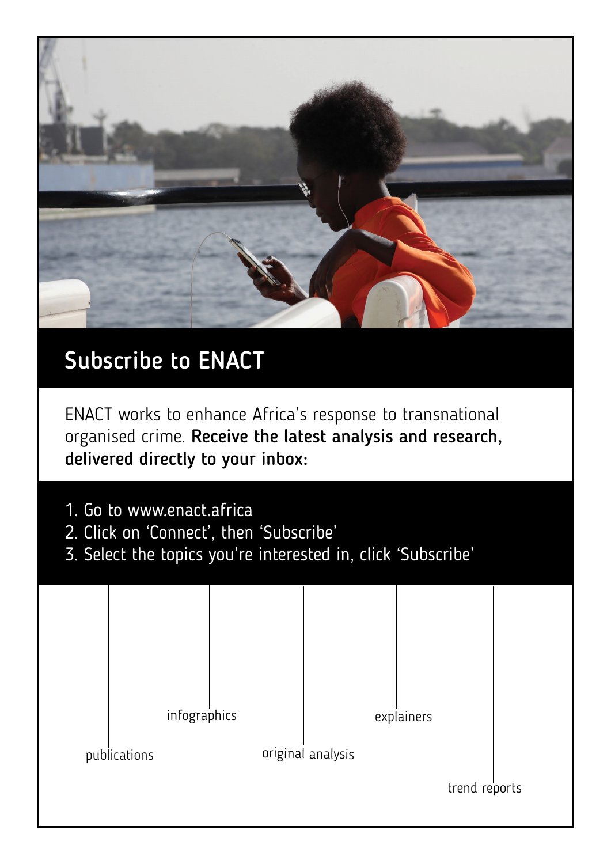

## Subscribe to ENACT

ENACT works to enhance Africa's response to transnational organised crime. Receive the latest analysis and research, delivered directly to your inbox:

- 1. Go to<www.enact.africa>
- 2. Click on 'Connect', then 'Subscribe'
- 3. Select the topics you're interested in, click 'Subscribe'

|              | infographics |  |                   | explainers |               |  |
|--------------|--------------|--|-------------------|------------|---------------|--|
| publications |              |  | original analysis |            |               |  |
|              |              |  |                   |            | trend reports |  |